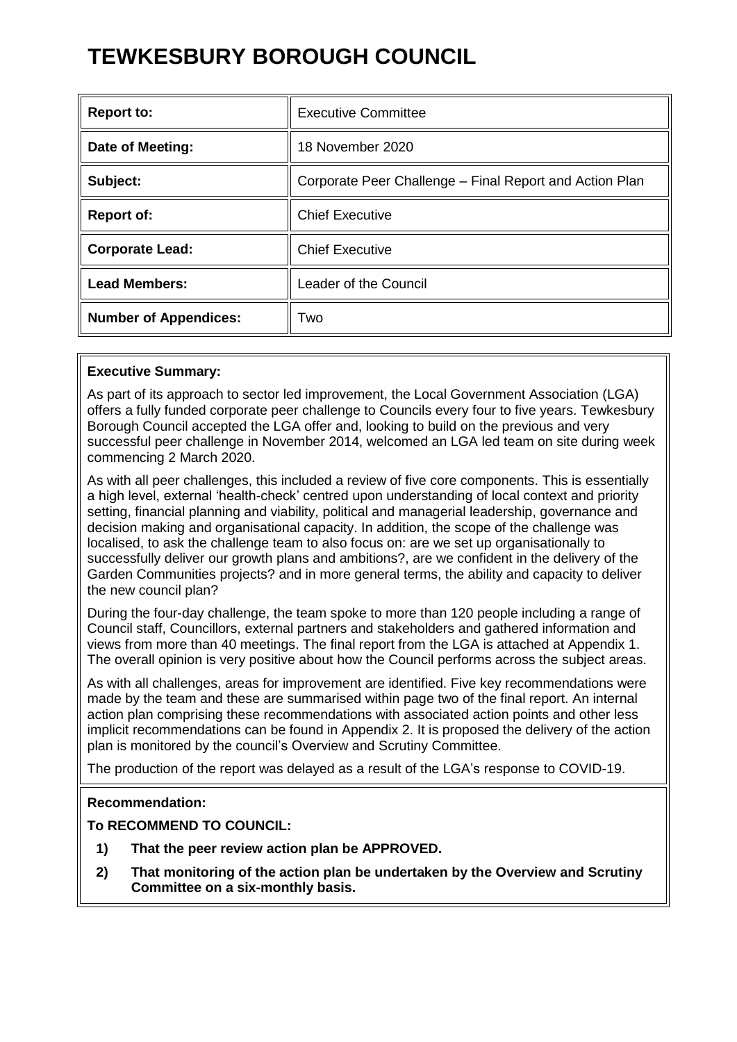# **TEWKESBURY BOROUGH COUNCIL**

| <b>Report to:</b>            | <b>Executive Committee</b>                              |
|------------------------------|---------------------------------------------------------|
| Date of Meeting:             | 18 November 2020                                        |
| Subject:                     | Corporate Peer Challenge - Final Report and Action Plan |
| <b>Report of:</b>            | <b>Chief Executive</b>                                  |
| <b>Corporate Lead:</b>       | <b>Chief Executive</b>                                  |
| <b>Lead Members:</b>         | Leader of the Council                                   |
| <b>Number of Appendices:</b> | Two                                                     |

## **Executive Summary:**

As part of its approach to sector led improvement, the Local Government Association (LGA) offers a fully funded corporate peer challenge to Councils every four to five years. Tewkesbury Borough Council accepted the LGA offer and, looking to build on the previous and very successful peer challenge in November 2014, welcomed an LGA led team on site during week commencing 2 March 2020.

As with all peer challenges, this included a review of five core components. This is essentially a high level, external 'health-check' centred upon understanding of local context and priority setting, financial planning and viability, political and managerial leadership, governance and decision making and organisational capacity. In addition, the scope of the challenge was localised, to ask the challenge team to also focus on: are we set up organisationally to successfully deliver our growth plans and ambitions?, are we confident in the delivery of the Garden Communities projects? and in more general terms, the ability and capacity to deliver the new council plan?

During the four-day challenge, the team spoke to more than 120 people including a range of Council staff, Councillors, external partners and stakeholders and gathered information and views from more than 40 meetings. The final report from the LGA is attached at Appendix 1. The overall opinion is very positive about how the Council performs across the subject areas.

As with all challenges, areas for improvement are identified. Five key recommendations were made by the team and these are summarised within page two of the final report. An internal action plan comprising these recommendations with associated action points and other less implicit recommendations can be found in Appendix 2. It is proposed the delivery of the action plan is monitored by the council's Overview and Scrutiny Committee.

The production of the report was delayed as a result of the LGA's response to COVID-19.

## **Recommendation:**

# **To RECOMMEND TO COUNCIL:**

- **1) That the peer review action plan be APPROVED.**
- **2) That monitoring of the action plan be undertaken by the Overview and Scrutiny Committee on a six-monthly basis.**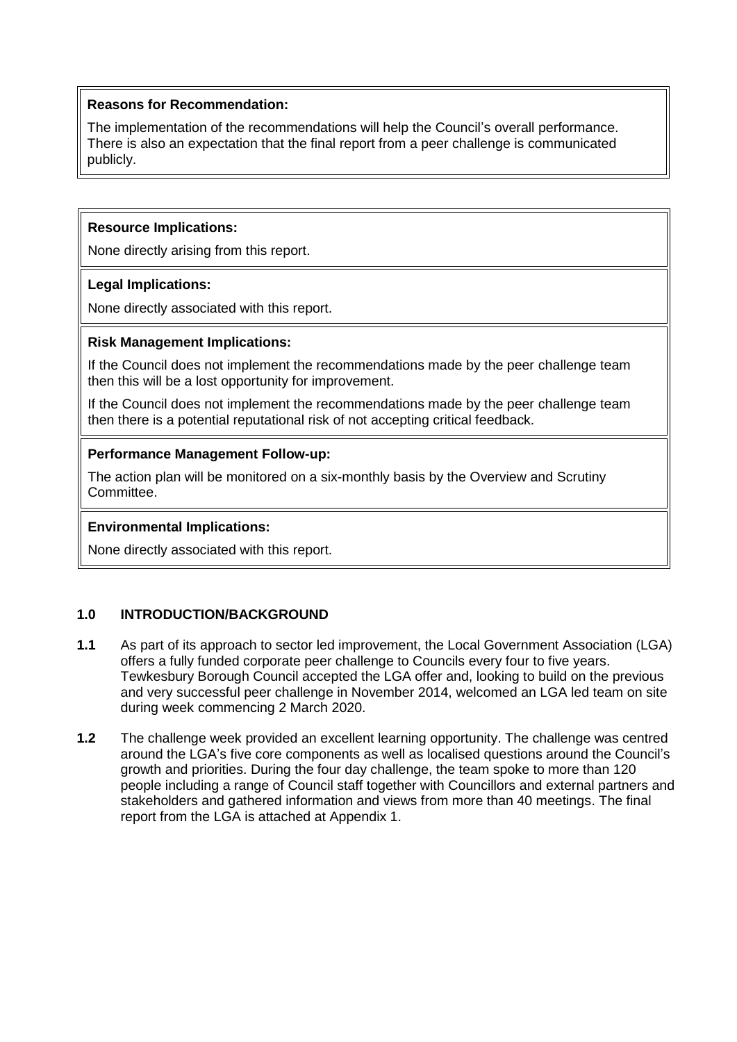## **Reasons for Recommendation:**

The implementation of the recommendations will help the Council's overall performance. There is also an expectation that the final report from a peer challenge is communicated publicly.

## **Resource Implications:**

None directly arising from this report.

## **Legal Implications:**

None directly associated with this report.

## **Risk Management Implications:**

If the Council does not implement the recommendations made by the peer challenge team then this will be a lost opportunity for improvement.

If the Council does not implement the recommendations made by the peer challenge team then there is a potential reputational risk of not accepting critical feedback.

# **Performance Management Follow-up:**

The action plan will be monitored on a six-monthly basis by the Overview and Scrutiny Committee.

## **Environmental Implications:**

None directly associated with this report.

# **1.0 INTRODUCTION/BACKGROUND**

- **1.1** As part of its approach to sector led improvement, the Local Government Association (LGA) offers a fully funded corporate peer challenge to Councils every four to five years. Tewkesbury Borough Council accepted the LGA offer and, looking to build on the previous and very successful peer challenge in November 2014, welcomed an LGA led team on site during week commencing 2 March 2020.
- **1.2** The challenge week provided an excellent learning opportunity. The challenge was centred around the LGA's five core components as well as localised questions around the Council's growth and priorities. During the four day challenge, the team spoke to more than 120 people including a range of Council staff together with Councillors and external partners and stakeholders and gathered information and views from more than 40 meetings. The final report from the LGA is attached at Appendix 1.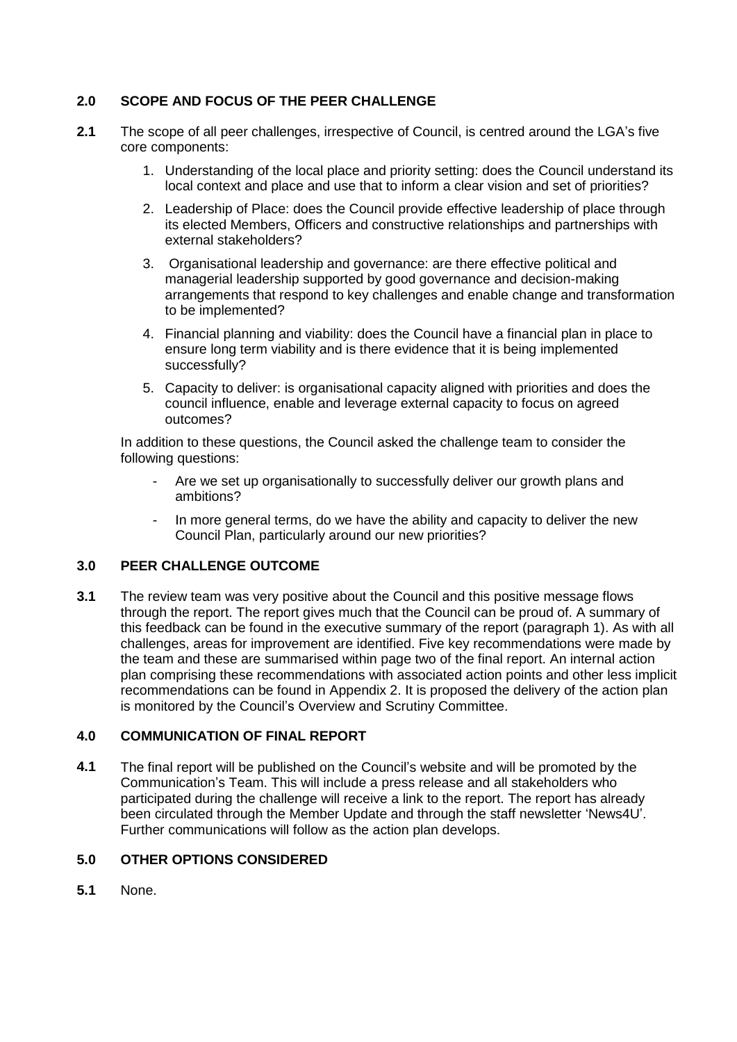# **2.0 SCOPE AND FOCUS OF THE PEER CHALLENGE**

- **2.1** The scope of all peer challenges, irrespective of Council, is centred around the LGA's five core components:
	- 1. Understanding of the local place and priority setting: does the Council understand its local context and place and use that to inform a clear vision and set of priorities?
	- 2. Leadership of Place: does the Council provide effective leadership of place through its elected Members, Officers and constructive relationships and partnerships with external stakeholders?
	- 3. Organisational leadership and governance: are there effective political and managerial leadership supported by good governance and decision-making arrangements that respond to key challenges and enable change and transformation to be implemented?
	- 4. Financial planning and viability: does the Council have a financial plan in place to ensure long term viability and is there evidence that it is being implemented successfully?
	- 5. Capacity to deliver: is organisational capacity aligned with priorities and does the council influence, enable and leverage external capacity to focus on agreed outcomes?

In addition to these questions, the Council asked the challenge team to consider the following questions:

- Are we set up organisationally to successfully deliver our growth plans and ambitions?
- In more general terms, do we have the ability and capacity to deliver the new Council Plan, particularly around our new priorities?

# **3.0 PEER CHALLENGE OUTCOME**

**3.1** The review team was very positive about the Council and this positive message flows through the report. The report gives much that the Council can be proud of. A summary of this feedback can be found in the executive summary of the report (paragraph 1). As with all challenges, areas for improvement are identified. Five key recommendations were made by the team and these are summarised within page two of the final report. An internal action plan comprising these recommendations with associated action points and other less implicit recommendations can be found in Appendix 2. It is proposed the delivery of the action plan is monitored by the Council's Overview and Scrutiny Committee.

## **4.0 COMMUNICATION OF FINAL REPORT**

**4.1** The final report will be published on the Council's website and will be promoted by the Communication's Team. This will include a press release and all stakeholders who participated during the challenge will receive a link to the report. The report has already been circulated through the Member Update and through the staff newsletter 'News4U'. Further communications will follow as the action plan develops.

## **5.0 OTHER OPTIONS CONSIDERED**

**5.1** None.